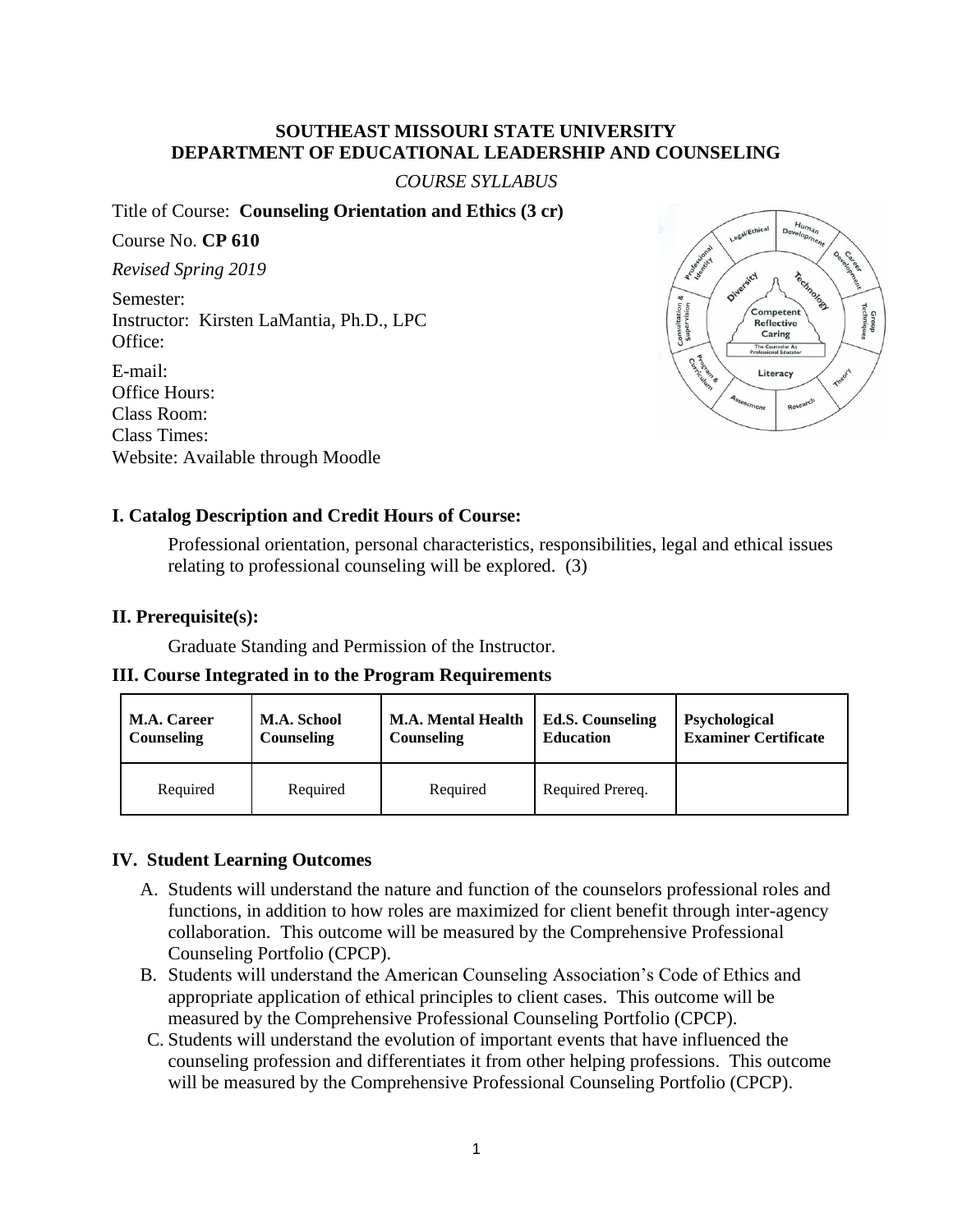## **SOUTHEAST MISSOURI STATE UNIVERSITY DEPARTMENT OF EDUCATIONAL LEADERSHIP AND COUNSELING**

*COURSE SYLLABUS*

Title of Course: **Counseling Orientation and Ethics (3 cr)** 

Course No. **CP 610** *Revised Spring 2019* Semester: Instructor: Kirsten LaMantia, Ph.D., LPC Office: E-mail: Office Hours: Class Room:



# Website: Available through Moodle

## **I. Catalog Description and Credit Hours of Course:**

Professional orientation, personal characteristics, responsibilities, legal and ethical issues relating to professional counseling will be explored. (3)

## **II. Prerequisite(s):**

Class Times:

Graduate Standing and Permission of the Instructor.

#### **III. Course Integrated in to the Program Requirements**

| <b>M.A. Career</b> | <b>M.A. School</b> | <b>M.A. Mental Health</b> | <b>Ed.S. Counseling</b> | <b>Psychological</b>        |
|--------------------|--------------------|---------------------------|-------------------------|-----------------------------|
| Counseling         | <b>Counseling</b>  | Counseling                | <b>Education</b>        | <b>Examiner Certificate</b> |
| Required           | Required           | Required                  | Required Prereq.        |                             |

## **IV. Student Learning Outcomes**

- A. Students will understand the nature and function of the counselors professional roles and functions, in addition to how roles are maximized for client benefit through inter-agency collaboration. This outcome will be measured by the Comprehensive Professional Counseling Portfolio (CPCP).
- B. Students will understand the American Counseling Association's Code of Ethics and appropriate application of ethical principles to client cases. This outcome will be measured by the Comprehensive Professional Counseling Portfolio (CPCP).
- C. Students will understand the evolution of important events that have influenced the counseling profession and differentiates it from other helping professions. This outcome will be measured by the Comprehensive Professional Counseling Portfolio (CPCP).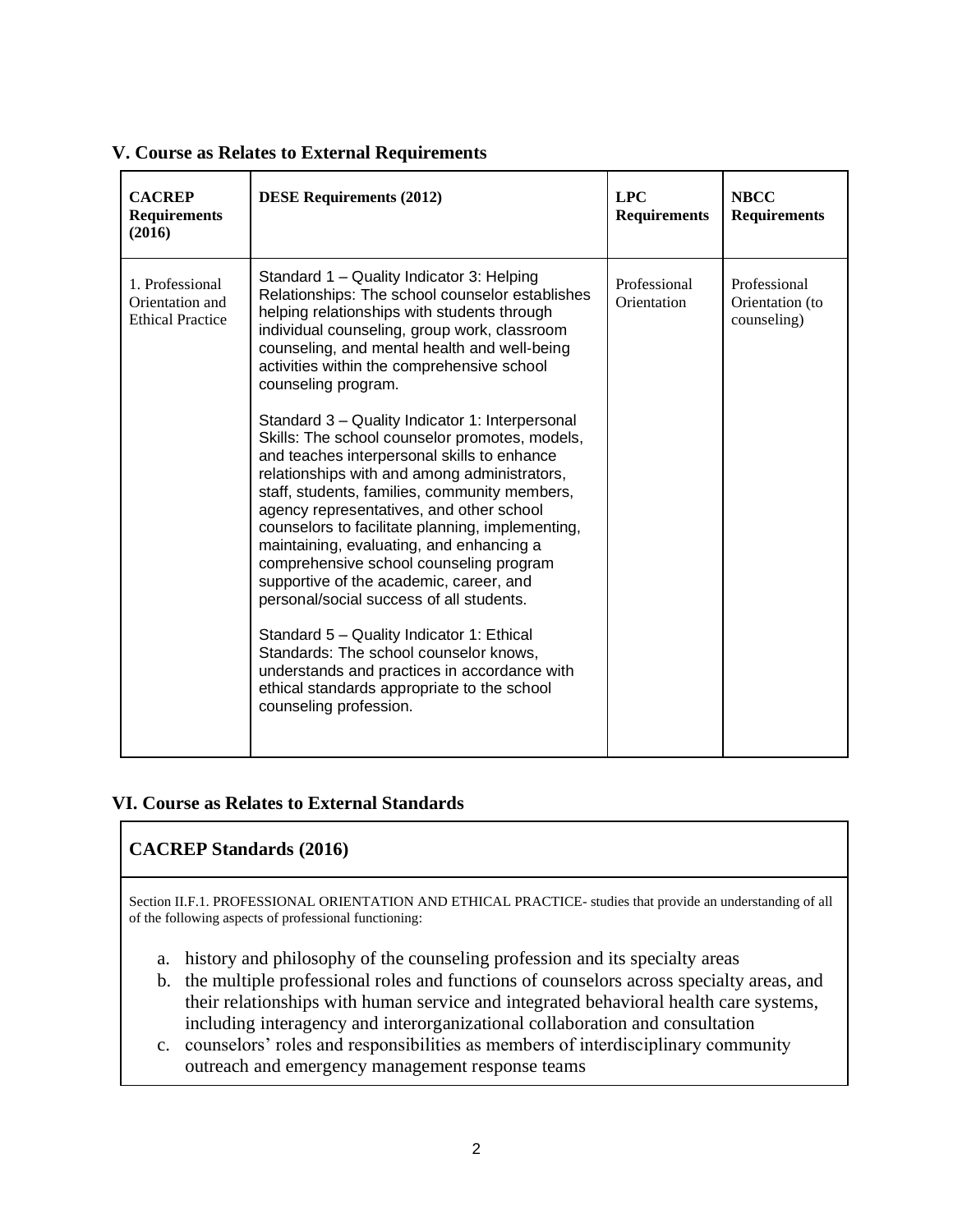| <b>CACREP</b><br><b>Requirements</b><br>(2016)                | <b>DESE Requirements (2012)</b>                                                                                                                                                                                                                                                                                                                                                                                                                                                                                                                                                                                                                                                                                                                                                                                                                                                                                                                                                                                                                                     | <b>LPC</b><br><b>Requirements</b> | <b>NBCC</b><br><b>Requirements</b>             |
|---------------------------------------------------------------|---------------------------------------------------------------------------------------------------------------------------------------------------------------------------------------------------------------------------------------------------------------------------------------------------------------------------------------------------------------------------------------------------------------------------------------------------------------------------------------------------------------------------------------------------------------------------------------------------------------------------------------------------------------------------------------------------------------------------------------------------------------------------------------------------------------------------------------------------------------------------------------------------------------------------------------------------------------------------------------------------------------------------------------------------------------------|-----------------------------------|------------------------------------------------|
| 1. Professional<br>Orientation and<br><b>Ethical Practice</b> | Standard 1 - Quality Indicator 3: Helping<br>Relationships: The school counselor establishes<br>helping relationships with students through<br>individual counseling, group work, classroom<br>counseling, and mental health and well-being<br>activities within the comprehensive school<br>counseling program.<br>Standard 3 – Quality Indicator 1: Interpersonal<br>Skills: The school counselor promotes, models,<br>and teaches interpersonal skills to enhance<br>relationships with and among administrators,<br>staff, students, families, community members,<br>agency representatives, and other school<br>counselors to facilitate planning, implementing,<br>maintaining, evaluating, and enhancing a<br>comprehensive school counseling program<br>supportive of the academic, career, and<br>personal/social success of all students.<br>Standard 5 - Quality Indicator 1: Ethical<br>Standards: The school counselor knows,<br>understands and practices in accordance with<br>ethical standards appropriate to the school<br>counseling profession. | Professional<br>Orientation       | Professional<br>Orientation (to<br>counseling) |

#### **V. Course as Relates to External Requirements**

#### **VI. Course as Relates to External Standards**

## **CACREP Standards (2016)**

Section II.F.1. PROFESSIONAL ORIENTATION AND ETHICAL PRACTICE- studies that provide an understanding of all of the following aspects of professional functioning:

- a. history and philosophy of the counseling profession and its specialty areas
- b. the multiple professional roles and functions of counselors across specialty areas, and their relationships with human service and integrated behavioral health care systems, including interagency and interorganizational collaboration and consultation
- c. counselors' roles and responsibilities as members of interdisciplinary community outreach and emergency management response teams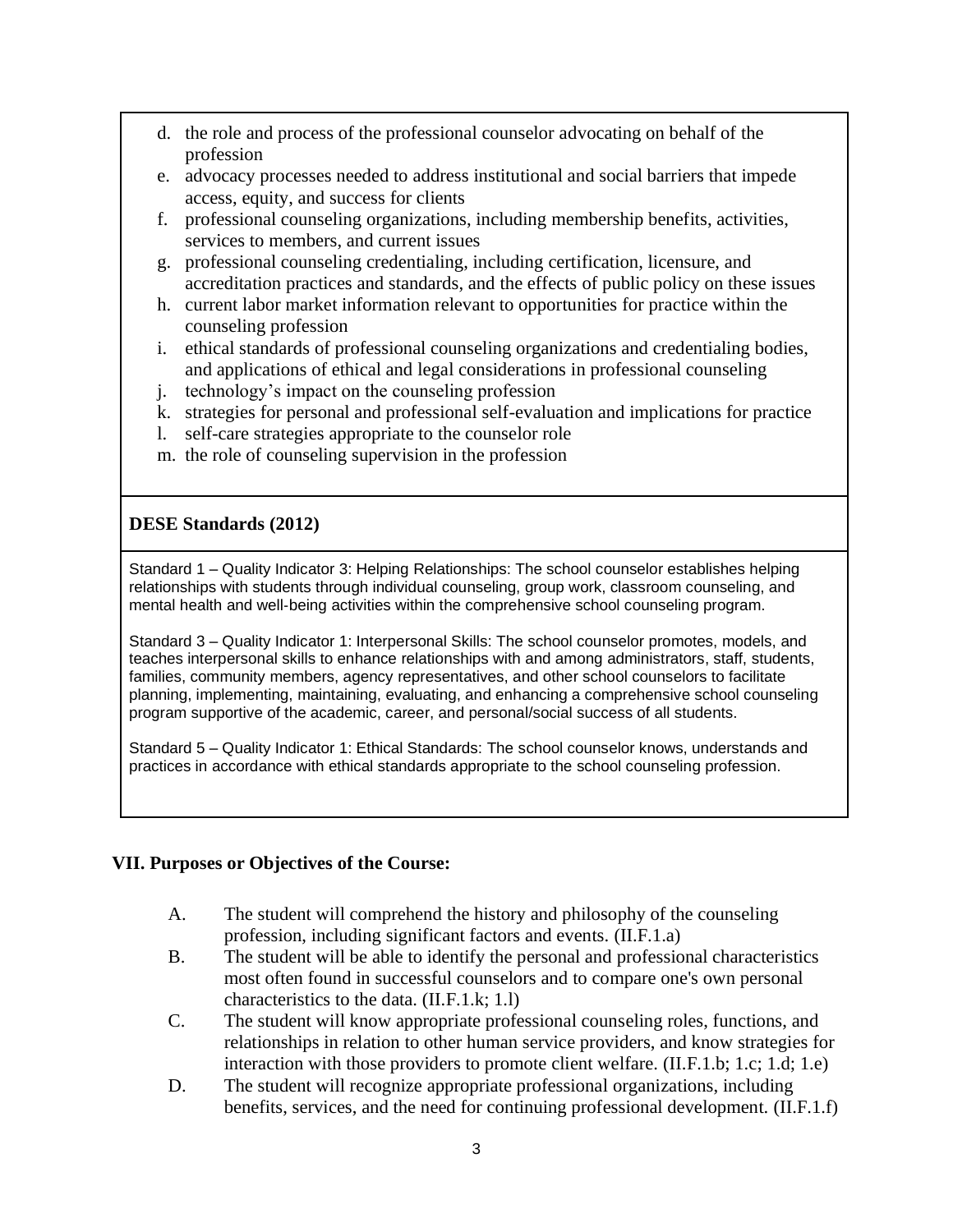- d. the role and process of the professional counselor advocating on behalf of the profession
- e. advocacy processes needed to address institutional and social barriers that impede access, equity, and success for clients
- f. professional counseling organizations, including membership benefits, activities, services to members, and current issues
- g. professional counseling credentialing, including certification, licensure, and accreditation practices and standards, and the effects of public policy on these issues
- h. current labor market information relevant to opportunities for practice within the counseling profession
- i. ethical standards of professional counseling organizations and credentialing bodies, and applications of ethical and legal considerations in professional counseling
- j. technology's impact on the counseling profession
- k. strategies for personal and professional self-evaluation and implications for practice
- l. self-care strategies appropriate to the counselor role
- m. the role of counseling supervision in the profession

## **DESE Standards (2012)**

Standard 1 – Quality Indicator 3: Helping Relationships: The school counselor establishes helping relationships with students through individual counseling, group work, classroom counseling, and mental health and well‐being activities within the comprehensive school counseling program.

Standard 3 – Quality Indicator 1: Interpersonal Skills: The school counselor promotes, models, and teaches interpersonal skills to enhance relationships with and among administrators, staff, students, families, community members, agency representatives, and other school counselors to facilitate planning, implementing, maintaining, evaluating, and enhancing a comprehensive school counseling program supportive of the academic, career, and personal/social success of all students.

Standard 5 – Quality Indicator 1: Ethical Standards: The school counselor knows, understands and practices in accordance with ethical standards appropriate to the school counseling profession.

#### **VII. Purposes or Objectives of the Course:**

- A. The student will comprehend the history and philosophy of the counseling profession, including significant factors and events. (II.F.1.a)
- B. The student will be able to identify the personal and professional characteristics most often found in successful counselors and to compare one's own personal characteristics to the data. (II.F.1.k; 1.l)
- C. The student will know appropriate professional counseling roles, functions, and relationships in relation to other human service providers, and know strategies for interaction with those providers to promote client welfare. (II.F.1.b; 1.c; 1.d; 1.e)
- D. The student will recognize appropriate professional organizations, including benefits, services, and the need for continuing professional development. (II.F.1.f)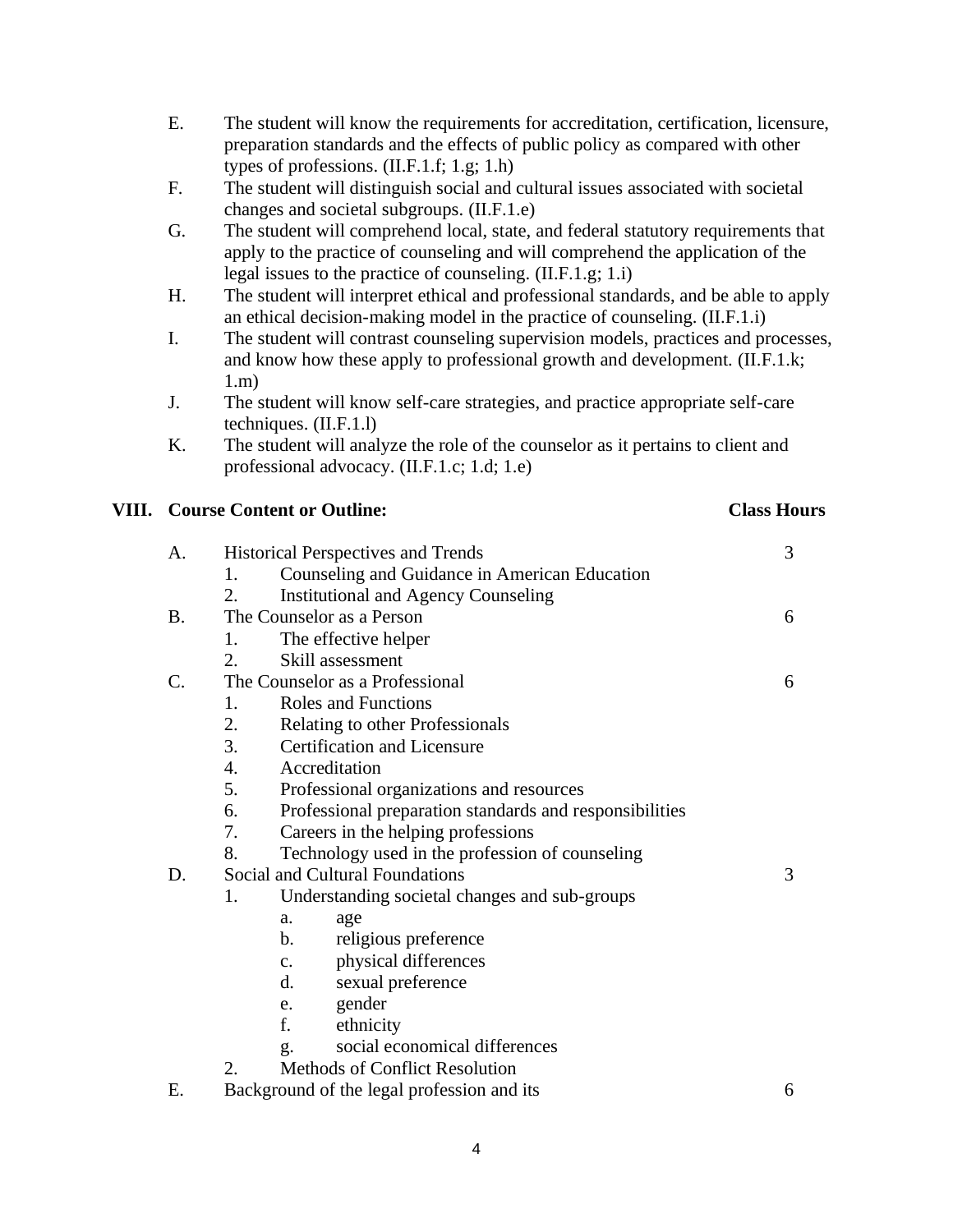- E. The student will know the requirements for accreditation, certification, licensure, preparation standards and the effects of public policy as compared with other types of professions. (II.F.1.f; 1.g; 1.h)
- F. The student will distinguish social and cultural issues associated with societal changes and societal subgroups. (II.F.1.e)
- G. The student will comprehend local, state, and federal statutory requirements that apply to the practice of counseling and will comprehend the application of the legal issues to the practice of counseling. (II.F.1.g; 1.i)
- H. The student will interpret ethical and professional standards, and be able to apply an ethical decision-making model in the practice of counseling. (II.F.1.i)
- I. The student will contrast counseling supervision models, practices and processes, and know how these apply to professional growth and development. (II.F.1.k; 1.m)
- J. The student will know self-care strategies, and practice appropriate self-care techniques. (II.F.1.l)
- K. The student will analyze the role of the counselor as it pertains to client and professional advocacy. (II.F.1.c; 1.d; 1.e)

### **VIII. Course Content or Outline: Class Hours**

| A.              | <b>Historical Perspectives and Trends</b>               |   |  |
|-----------------|---------------------------------------------------------|---|--|
|                 | Counseling and Guidance in American Education<br>1.     |   |  |
|                 | 2.<br><b>Institutional and Agency Counseling</b>        |   |  |
| <b>B.</b>       | The Counselor as a Person                               |   |  |
|                 | The effective helper<br>1.                              |   |  |
|                 | Skill assessment<br>2.                                  |   |  |
| $\mathcal{C}$ . | The Counselor as a Professional                         |   |  |
|                 | <b>Roles and Functions</b><br>1.                        |   |  |
|                 | 2.<br>Relating to other Professionals                   |   |  |
|                 | <b>Certification and Licensure</b>                      |   |  |
|                 | $\overline{4}$ .<br>Accreditation                       |   |  |
|                 | Professional organizations and resources                |   |  |
|                 | Professional preparation standards and responsibilities |   |  |
|                 | Careers in the helping professions                      |   |  |
|                 | 8.<br>Technology used in the profession of counseling   |   |  |
| D.              | Social and Cultural Foundations                         |   |  |
|                 | 1.<br>Understanding societal changes and sub-groups     |   |  |
|                 | age<br>a.                                               |   |  |
|                 | $\mathbf b$ .<br>religious preference                   |   |  |
|                 | physical differences<br>$C_{\bullet}$                   |   |  |
|                 | d.<br>sexual preference                                 |   |  |
|                 | gender<br>e.                                            |   |  |
|                 | f.<br>ethnicity                                         |   |  |
|                 | social economical differences<br>g.                     |   |  |
|                 | Methods of Conflict Resolution<br>2.                    |   |  |
| Ε.              | Background of the legal profession and its              | 6 |  |

4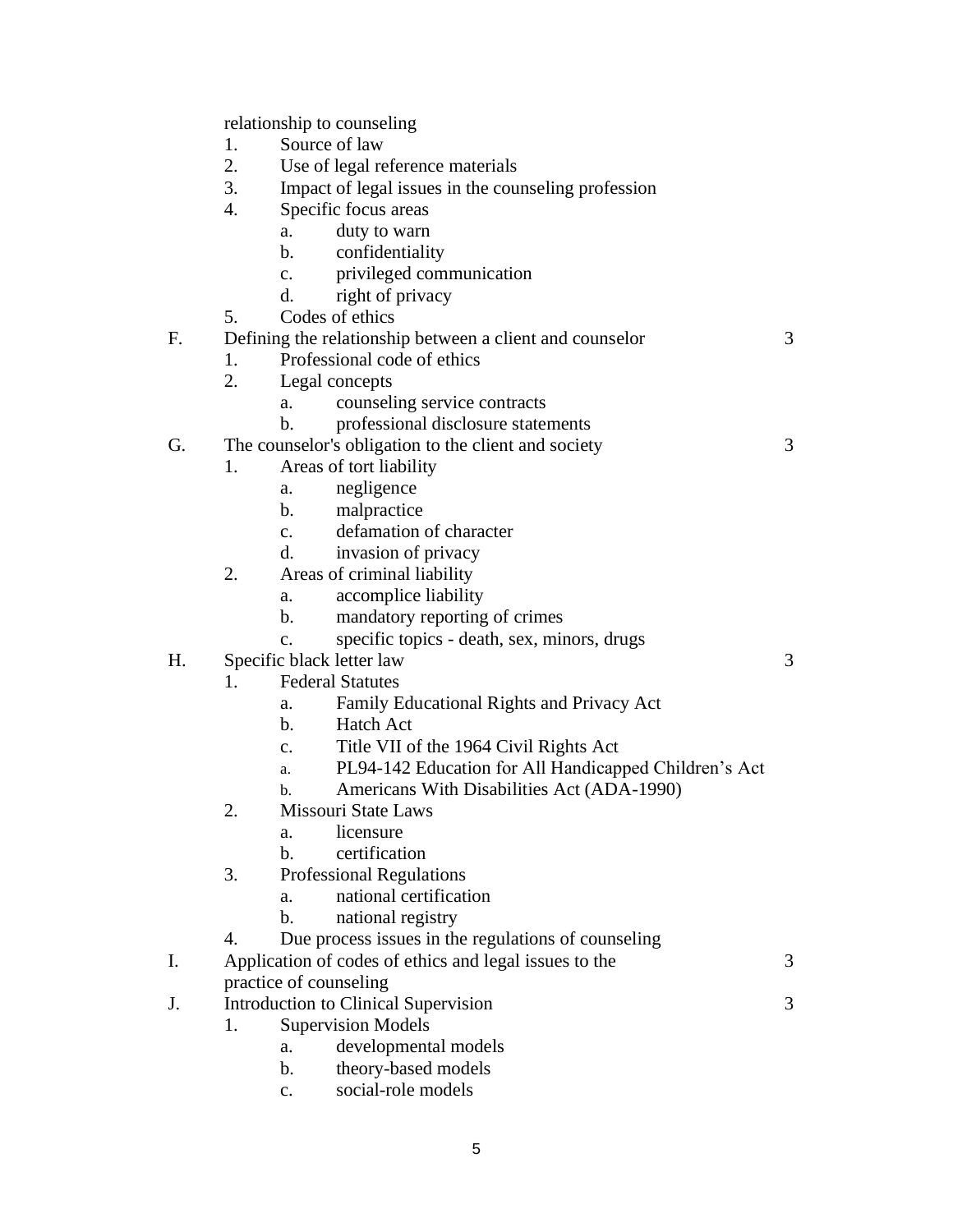relationship to counseling

- 1. Source of law
- 2. Use of legal reference materials
- 3. Impact of legal issues in the counseling profession
- 4. Specific focus areas
	- a. duty to warn
	- b. confidentiality
	- c. privileged communication
	- d. right of privacy
- 5. Codes of ethics

F. Defining the relationship between a client and counselor 3

- 1. Professional code of ethics
- 2. Legal concepts
	- a. counseling service contracts
	- b. professional disclosure statements
- G. The counselor's obligation to the client and society 3
	- 1. Areas of tort liability
		- a. negligence
		- b. malpractice
		- c. defamation of character
		- d. invasion of privacy
	- 2. Areas of criminal liability
		- a. accomplice liability
		- b. mandatory reporting of crimes
		- c. specific topics death, sex, minors, drugs
- H. Specific black letter law 3
	- 1. Federal Statutes
		- a. Family Educational Rights and Privacy Act
		- b. Hatch Act
		- c. Title VII of the 1964 Civil Rights Act
		- a. PL94-142 Education for All Handicapped Children's Act
		- b. Americans With Disabilities Act (ADA-1990)
	- 2. Missouri State Laws
		- a. licensure
		- b. certification
	- 3. Professional Regulations
		- a. national certification
		- b. national registry
	- 4. Due process issues in the regulations of counseling
- I. Application of codes of ethics and legal issues to the 3 practice of counseling
- J. Introduction to Clinical Supervision 3
	- 1. Supervision Models
		- a. developmental models
		- b. theory-based models
		- c. social-role models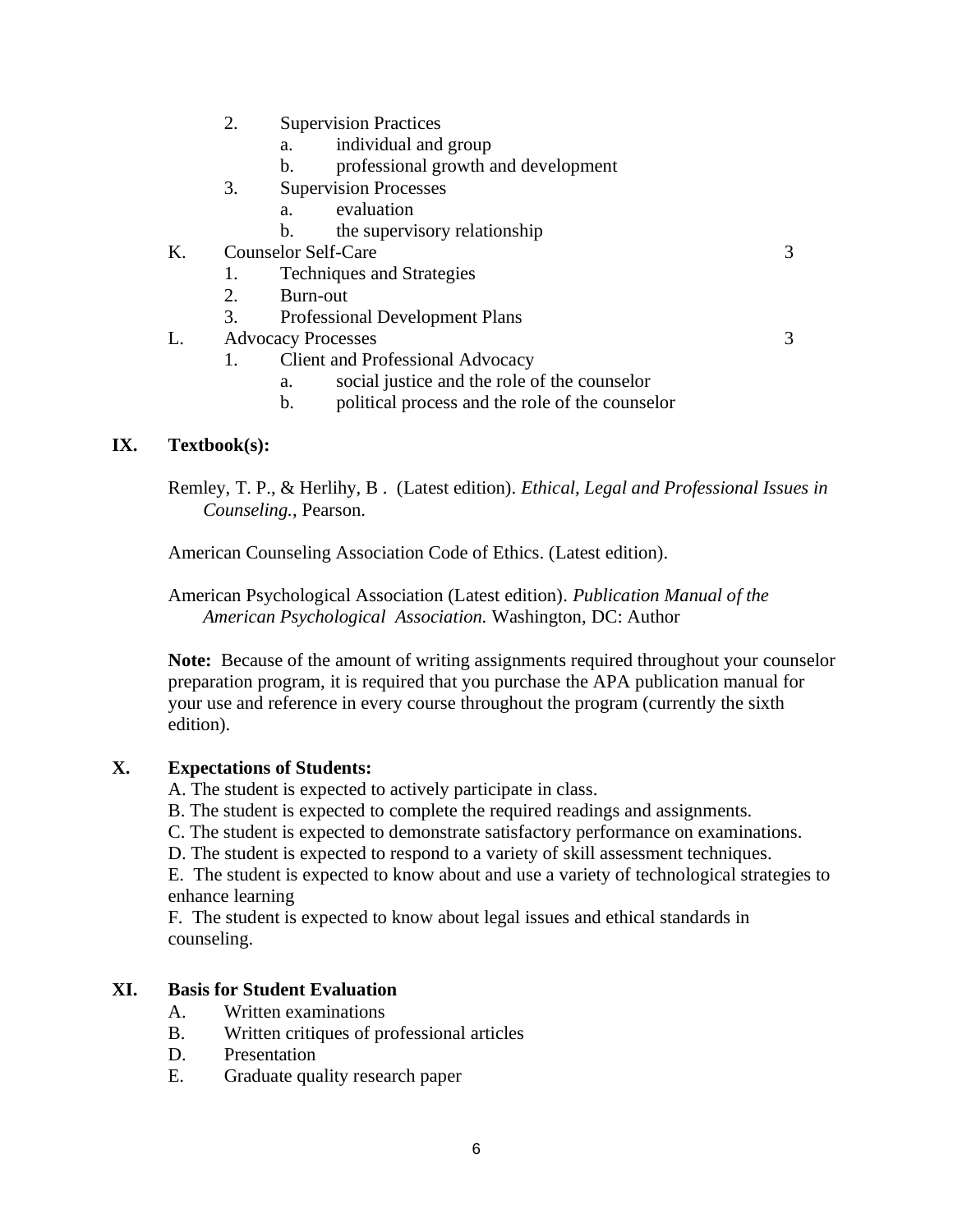- 2. Supervision Practices
	- a. individual and group
	- b. professional growth and development
- 3. Supervision Processes
	- a. evaluation
	- b. the supervisory relationship
- K. Counselor Self-Care 3
	- 1. Techniques and Strategies
	- 2. Burn-out
	- 3. Professional Development Plans
- L. Advocacy Processes 3
	-
- 1. Client and Professional Advocacy
	- a. social justice and the role of the counselor
	- b. political process and the role of the counselor

### **IX. Textbook(s):**

Remley, T. P., & Herlihy, B . (Latest edition). *Ethical, Legal and Professional Issues in Counseling.*, Pearson.

American Counseling Association Code of Ethics. (Latest edition).

American Psychological Association (Latest edition). *Publication Manual of the American Psychological Association.* Washington, DC: Author

**Note:** Because of the amount of writing assignments required throughout your counselor preparation program, it is required that you purchase the APA publication manual for your use and reference in every course throughout the program (currently the sixth edition).

#### **X. Expectations of Students:**

- A. The student is expected to actively participate in class.
- B. The student is expected to complete the required readings and assignments.
- C. The student is expected to demonstrate satisfactory performance on examinations.
- D. The student is expected to respond to a variety of skill assessment techniques.

E. The student is expected to know about and use a variety of technological strategies to enhance learning

F. The student is expected to know about legal issues and ethical standards in counseling.

#### **XI. Basis for Student Evaluation**

- A. Written examinations
- B. Written critiques of professional articles
- D. Presentation
- E. Graduate quality research paper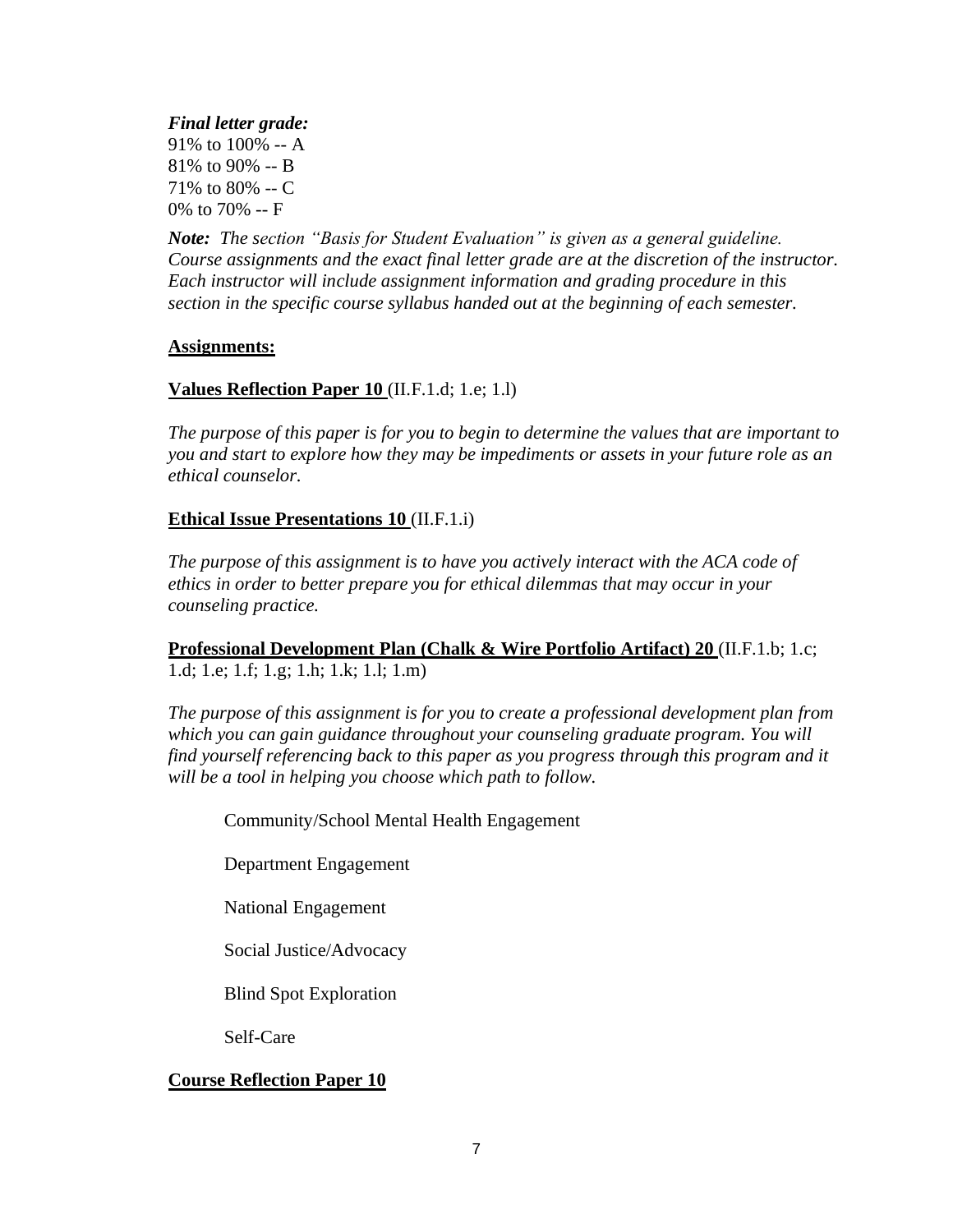*Final letter grade:* 91% to 100% -- A 81% to 90% -- B 71% to 80% -- C 0% to 70% -- F

*Note: The section "Basis for Student Evaluation" is given as a general guideline. Course assignments and the exact final letter grade are at the discretion of the instructor. Each instructor will include assignment information and grading procedure in this section in the specific course syllabus handed out at the beginning of each semester.*

#### **Assignments:**

## **Values Reflection Paper 10** (II.F.1.d; 1.e; 1.l)

*The purpose of this paper is for you to begin to determine the values that are important to you and start to explore how they may be impediments or assets in your future role as an ethical counselor.* 

## **Ethical Issue Presentations 10** (II.F.1.i)

*The purpose of this assignment is to have you actively interact with the ACA code of ethics in order to better prepare you for ethical dilemmas that may occur in your counseling practice.* 

## **Professional Development Plan (Chalk & Wire Portfolio Artifact) 20** (II.F.1.b; 1.c; 1.d; 1.e; 1.f; 1.g; 1.h; 1.k; 1.l; 1.m)

*The purpose of this assignment is for you to create a professional development plan from which you can gain guidance throughout your counseling graduate program. You will find yourself referencing back to this paper as you progress through this program and it will be a tool in helping you choose which path to follow.* 

Community/School Mental Health Engagement

Department Engagement

National Engagement

Social Justice/Advocacy

Blind Spot Exploration

Self-Care

## **Course Reflection Paper 10**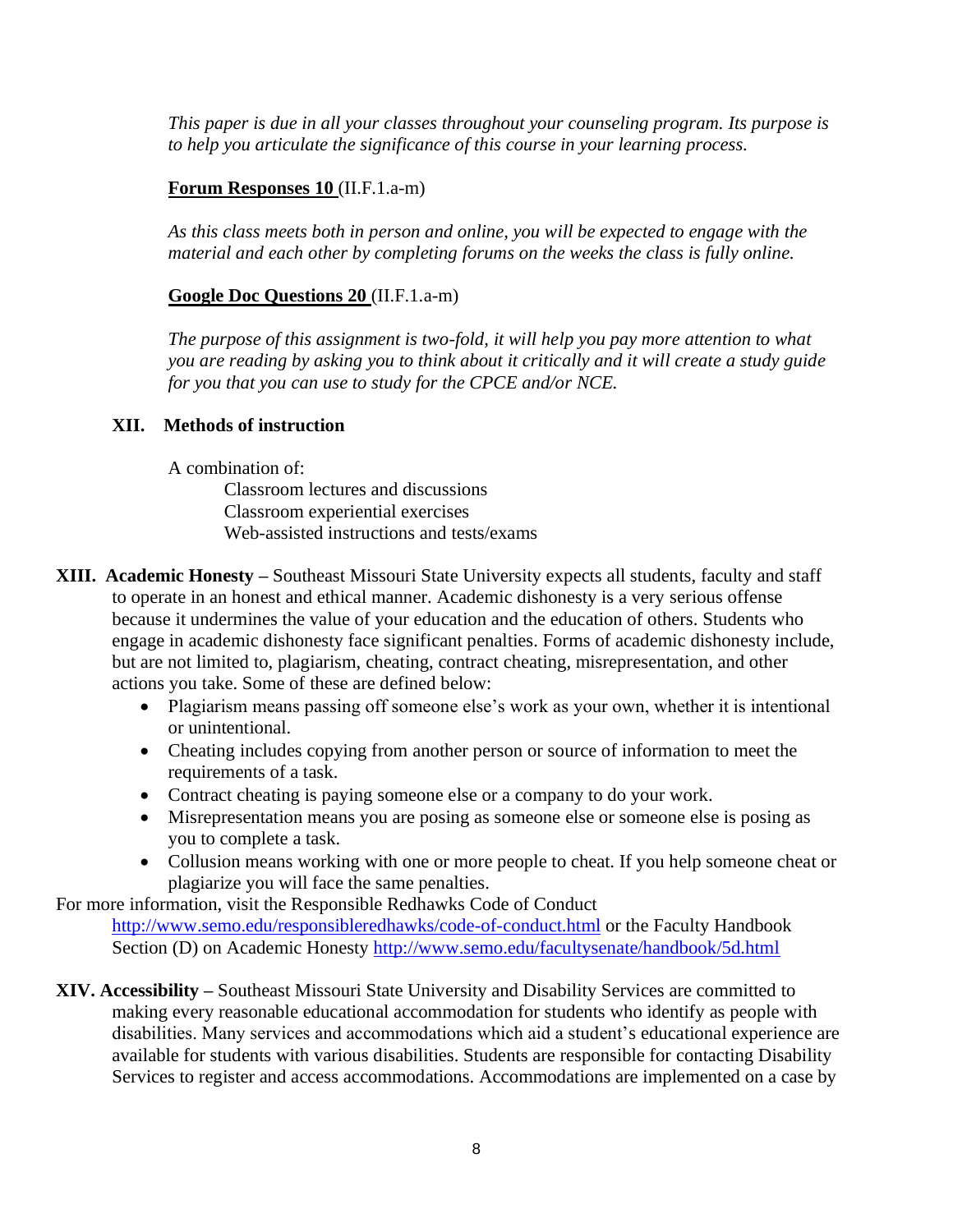*This paper is due in all your classes throughout your counseling program. Its purpose is to help you articulate the significance of this course in your learning process.* 

## **Forum Responses 10** (II.F.1.a-m)

*As this class meets both in person and online, you will be expected to engage with the material and each other by completing forums on the weeks the class is fully online.*

## **Google Doc Questions 20** (II.F.1.a-m)

*The purpose of this assignment is two-fold, it will help you pay more attention to what you are reading by asking you to think about it critically and it will create a study guide for you that you can use to study for the CPCE and/or NCE.*

## **XII. Methods of instruction**

A combination of:

Classroom lectures and discussions Classroom experiential exercises Web-assisted instructions and tests/exams

- **XIII. Academic Honesty –** Southeast Missouri State University expects all students, faculty and staff to operate in an honest and ethical manner. Academic dishonesty is a very serious offense because it undermines the value of your education and the education of others. Students who engage in academic dishonesty face significant penalties. Forms of academic dishonesty include, but are not limited to, plagiarism, cheating, contract cheating, misrepresentation, and other actions you take. Some of these are defined below:
	- Plagiarism means passing off someone else's work as your own, whether it is intentional or unintentional.
	- Cheating includes copying from another person or source of information to meet the requirements of a task.
	- Contract cheating is paying someone else or a company to do your work.
	- Misrepresentation means you are posing as someone else or someone else is posing as you to complete a task.
	- Collusion means working with one or more people to cheat. If you help someone cheat or plagiarize you will face the same penalties.

For more information, visit the Responsible Redhawks Code of Conduct

<http://www.semo.edu/responsibleredhawks/code-of-conduct.html> or the Faculty Handbook Section (D) on Academic Honesty<http://www.semo.edu/facultysenate/handbook/5d.html>

**XIV. Accessibility –** Southeast Missouri State University and Disability Services are committed to making every reasonable educational accommodation for students who identify as people with disabilities. Many services and accommodations which aid a student's educational experience are available for students with various disabilities. Students are responsible for contacting Disability Services to register and access accommodations. Accommodations are implemented on a case by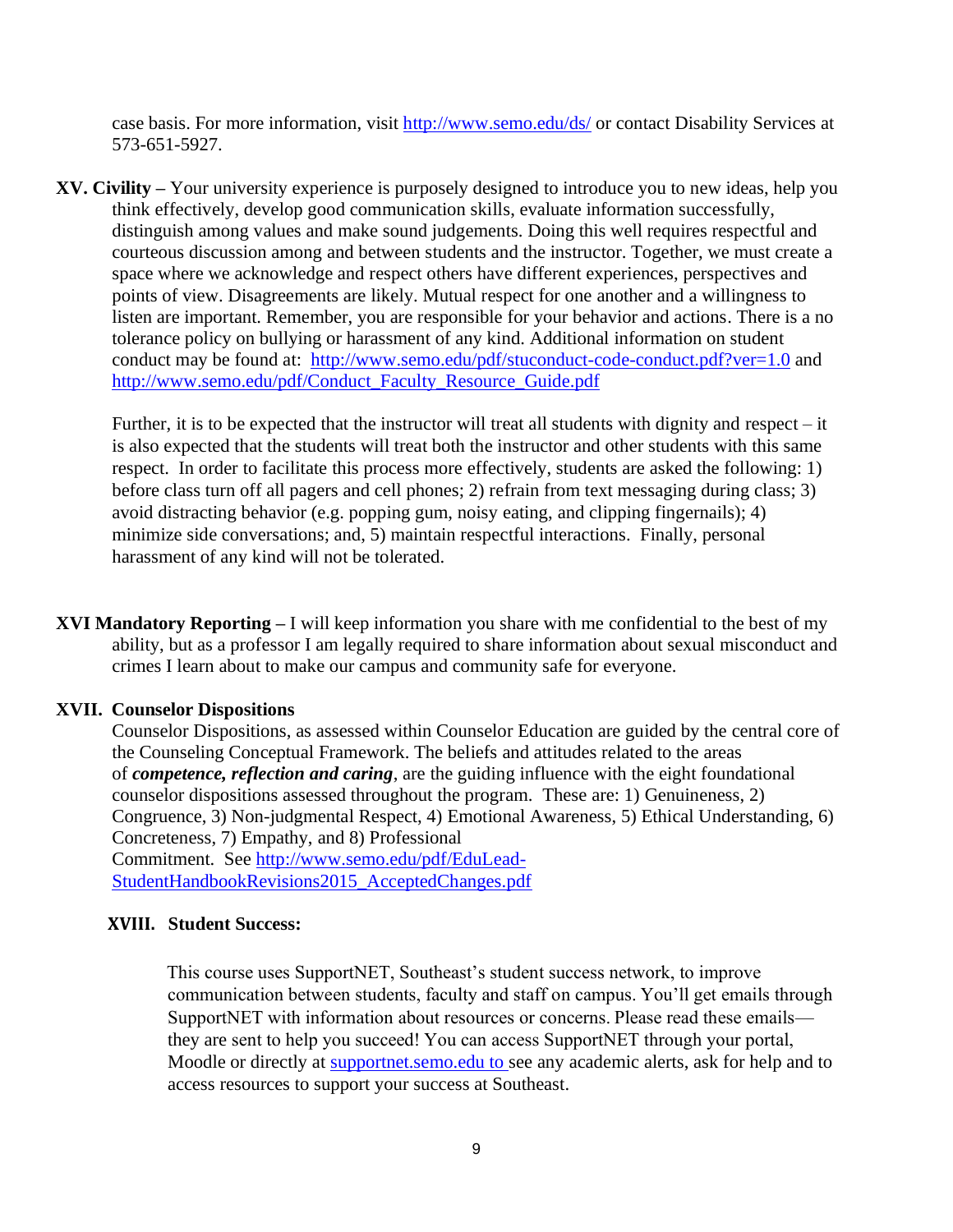case basis. For more information, visit<http://www.semo.edu/ds/> or contact Disability Services at 573-651-5927.

**XV. Civility –** Your university experience is purposely designed to introduce you to new ideas, help you think effectively, develop good communication skills, evaluate information successfully, distinguish among values and make sound judgements. Doing this well requires respectful and courteous discussion among and between students and the instructor. Together, we must create a space where we acknowledge and respect others have different experiences, perspectives and points of view. Disagreements are likely. Mutual respect for one another and a willingness to listen are important. Remember, you are responsible for your behavior and actions. There is a no tolerance policy on bullying or harassment of any kind. Additional information on student conduct may be found at: <http://www.semo.edu/pdf/stuconduct-code-conduct.pdf?ver=1.0> and [http://www.semo.edu/pdf/Conduct\\_Faculty\\_Resource\\_Guide.pdf](http://www.semo.edu/pdf/Conduct_Faculty_Resource_Guide.pdf)

Further, it is to be expected that the instructor will treat all students with dignity and respect – it is also expected that the students will treat both the instructor and other students with this same respect. In order to facilitate this process more effectively, students are asked the following: 1) before class turn off all pagers and cell phones; 2) refrain from text messaging during class; 3) avoid distracting behavior (e.g. popping gum, noisy eating, and clipping fingernails); 4) minimize side conversations; and, 5) maintain respectful interactions. Finally, personal harassment of any kind will not be tolerated.

**XVI Mandatory Reporting –** I will keep information you share with me confidential to the best of my ability, but as a professor I am legally required to share information about sexual misconduct and crimes I learn about to make our campus and community safe for everyone.

#### **XVII. Counselor Dispositions**

Counselor Dispositions, as assessed within Counselor Education are guided by the central core of the Counseling Conceptual Framework. The beliefs and attitudes related to the areas of *competence, reflection and caring*, are the guiding influence with the eight foundational counselor dispositions assessed throughout the program. These are: 1) Genuineness, 2) Congruence, 3) Non-judgmental Respect, 4) Emotional Awareness, 5) Ethical Understanding, 6) Concreteness, 7) Empathy, and 8) Professional

Commitment. See [http://www.semo.edu/pdf/EduLead-](https://exchange2010.semo.edu/owa/redir.aspx?SURL=2GupHz4GuED-_NtCNM3cgIEpqTSFfV4WYHRDQKe_SeSFwmzBIiHTCGgAdAB0AHAAOgAvAC8AdwB3AHcALgBzAGUAbQBvAC4AZQBkAHUALwBwAGQAZgAvAEUAZAB1AEwAZQBhAGQALQBTAHQAdQBkAGUAbgB0AEgAYQBuAGQAYgBvAG8AawBSAGUAdgBpAHMAaQBvAG4AcwAyADAAMQA1AF8AQQBjAGMAZQBwAHQAZQBkAEMAaABhAG4AZwBlAHMALgBwAGQAZgA.&URL=http%3a%2f%2fwww.semo.edu%2fpdf%2fEduLead-StudentHandbookRevisions2015_AcceptedChanges.pdf)[StudentHandbookRevisions2015\\_AcceptedChanges.pdf](https://exchange2010.semo.edu/owa/redir.aspx?SURL=2GupHz4GuED-_NtCNM3cgIEpqTSFfV4WYHRDQKe_SeSFwmzBIiHTCGgAdAB0AHAAOgAvAC8AdwB3AHcALgBzAGUAbQBvAC4AZQBkAHUALwBwAGQAZgAvAEUAZAB1AEwAZQBhAGQALQBTAHQAdQBkAGUAbgB0AEgAYQBuAGQAYgBvAG8AawBSAGUAdgBpAHMAaQBvAG4AcwAyADAAMQA1AF8AQQBjAGMAZQBwAHQAZQBkAEMAaABhAG4AZwBlAHMALgBwAGQAZgA.&URL=http%3a%2f%2fwww.semo.edu%2fpdf%2fEduLead-StudentHandbookRevisions2015_AcceptedChanges.pdf)

#### **XVIII. Student Success:**

This course uses SupportNET, Southeast's student success network, to improve communication between students, faculty and staff on campus. You'll get emails through SupportNET with information about resources or concerns. Please read these emails they are sent to help you succeed! You can access SupportNET through your portal, Moodle or directly at supportnet, semo, edu to see any academic alerts, ask for help and to access resources to support your success at Southeast.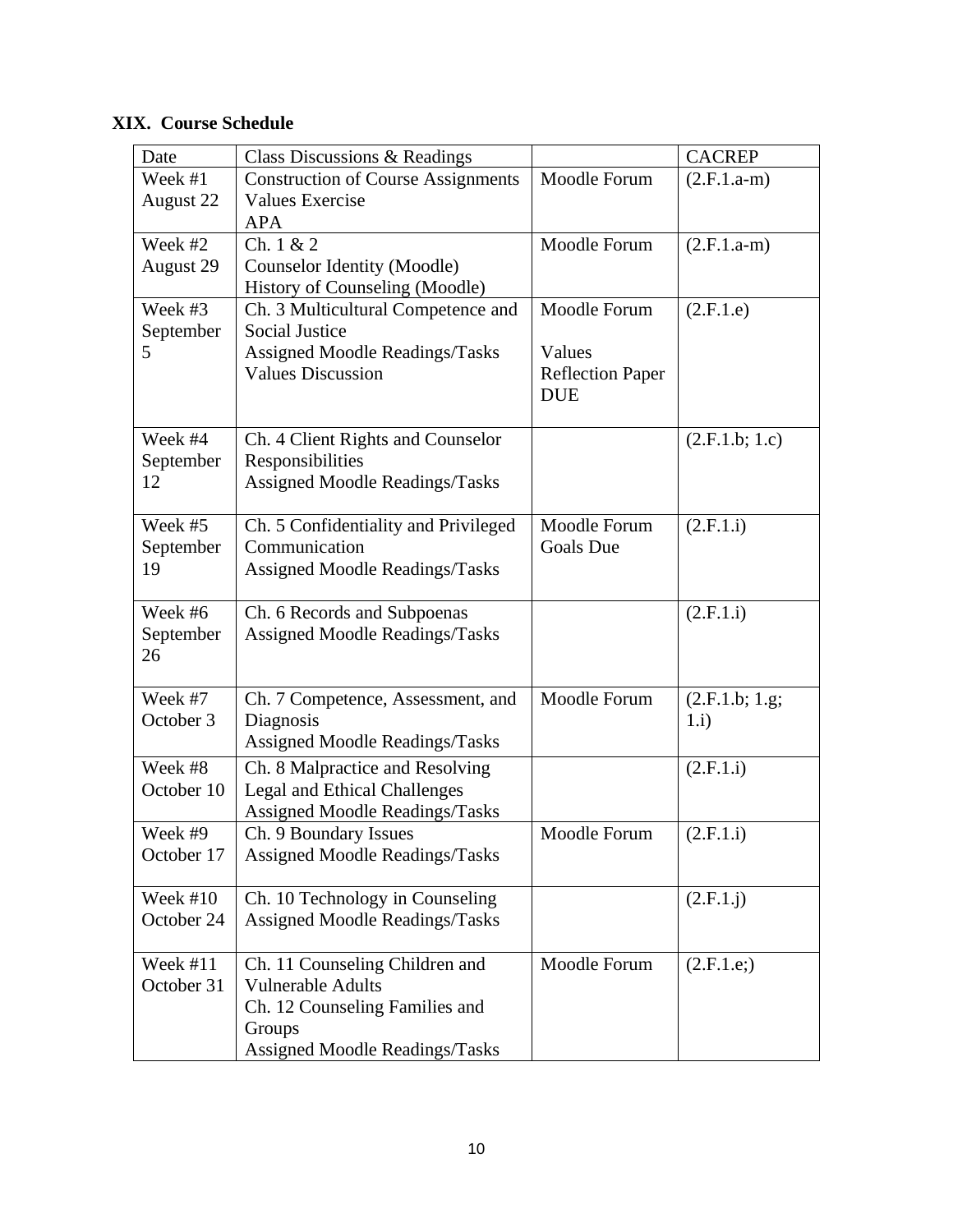## **XIX. Course Schedule**

| Date       | Class Discussions & Readings              |                         | <b>CACREP</b>  |
|------------|-------------------------------------------|-------------------------|----------------|
| Week #1    | <b>Construction of Course Assignments</b> | Moodle Forum            | $(2.F.1.a-m)$  |
| August 22  | <b>Values Exercise</b>                    |                         |                |
|            | <b>APA</b>                                |                         |                |
| Week #2    | Ch. $1 & 2$                               | Moodle Forum            | $(2.F.1.a-m)$  |
| August 29  | <b>Counselor Identity (Moodle)</b>        |                         |                |
|            | History of Counseling (Moodle)            |                         |                |
| Week #3    | Ch. 3 Multicultural Competence and        | Moodle Forum            | (2.F.1.e)      |
| September  | <b>Social Justice</b>                     |                         |                |
| 5          | <b>Assigned Moodle Readings/Tasks</b>     | Values                  |                |
|            | <b>Values Discussion</b>                  | <b>Reflection Paper</b> |                |
|            |                                           | <b>DUE</b>              |                |
| Week #4    | Ch. 4 Client Rights and Counselor         |                         | (2.F.1.b; 1.c) |
| September  | Responsibilities                          |                         |                |
| 12         | <b>Assigned Moodle Readings/Tasks</b>     |                         |                |
|            |                                           |                         |                |
| Week #5    | Ch. 5 Confidentiality and Privileged      | Moodle Forum            | (2.F.1.i)      |
| September  | Communication                             | <b>Goals Due</b>        |                |
| 19         | Assigned Moodle Readings/Tasks            |                         |                |
|            |                                           |                         |                |
| Week #6    | Ch. 6 Records and Subpoenas               |                         | (2.F.1.i)      |
| September  | Assigned Moodle Readings/Tasks            |                         |                |
| 26         |                                           |                         |                |
|            |                                           |                         |                |
| Week #7    | Ch. 7 Competence, Assessment, and         | Moodle Forum            | (2.F.1.b; 1.g; |
| October 3  | Diagnosis                                 |                         | 1.i)           |
|            | Assigned Moodle Readings/Tasks            |                         |                |
| Week #8    | Ch. 8 Malpractice and Resolving           |                         | (2.F.1.i)      |
| October 10 | <b>Legal and Ethical Challenges</b>       |                         |                |
|            | <b>Assigned Moodle Readings/Tasks</b>     |                         |                |
| Week #9    | Ch. 9 Boundary Issues                     | Moodle Forum            | (2.F.1.i)      |
| October 17 | Assigned Moodle Readings/Tasks            |                         |                |
| Week $#10$ | Ch. 10 Technology in Counseling           |                         | (2.F.1.1)      |
| October 24 | Assigned Moodle Readings/Tasks            |                         |                |
|            |                                           |                         |                |
| Week #11   | Ch. 11 Counseling Children and            | Moodle Forum            | (2.F.1.e.)     |
| October 31 | <b>Vulnerable Adults</b>                  |                         |                |
|            | Ch. 12 Counseling Families and            |                         |                |
|            | Groups                                    |                         |                |
|            | <b>Assigned Moodle Readings/Tasks</b>     |                         |                |